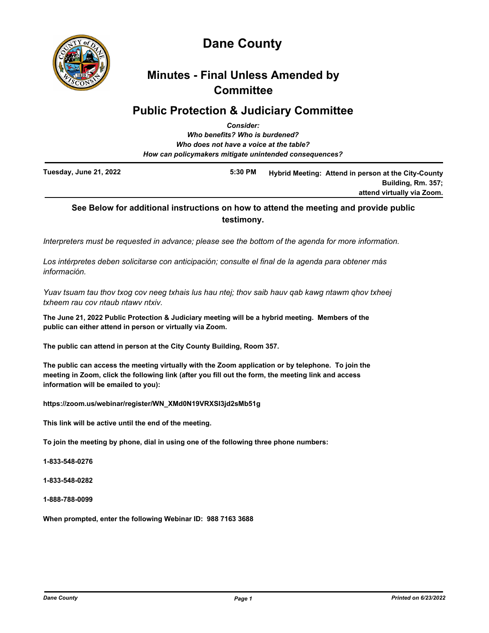

# **Dane County**

# **Minutes - Final Unless Amended by Committee**

# **Public Protection & Judiciary Committee**

| <b>Consider:</b>                                       |  |                                                                                                                                                        |
|--------------------------------------------------------|--|--------------------------------------------------------------------------------------------------------------------------------------------------------|
|                                                        |  |                                                                                                                                                        |
|                                                        |  |                                                                                                                                                        |
| How can policymakers mitigate unintended consequences? |  |                                                                                                                                                        |
| 5:30 PM                                                |  |                                                                                                                                                        |
|                                                        |  | Who benefits? Who is burdened?<br>Who does not have a voice at the table?<br>Hybrid Meeting: Attend in person at the City-County<br>Building, Rm. 357; |

# **See Below for additional instructions on how to attend the meeting and provide public testimony.**

*Interpreters must be requested in advance; please see the bottom of the agenda for more information.*

*Los intérpretes deben solicitarse con anticipación; consulte el final de la agenda para obtener más información.*

*Yuav tsuam tau thov txog cov neeg txhais lus hau ntej; thov saib hauv qab kawg ntawm qhov txheej txheem rau cov ntaub ntawv ntxiv.*

**The June 21, 2022 Public Protection & Judiciary meeting will be a hybrid meeting. Members of the public can either attend in person or virtually via Zoom.**

**The public can attend in person at the City County Building, Room 357.**

**The public can access the meeting virtually with the Zoom application or by telephone. To join the meeting in Zoom, click the following link (after you fill out the form, the meeting link and access information will be emailed to you):**

**https://zoom.us/webinar/register/WN\_XMd0N19VRXSI3jd2sMb51g**

**This link will be active until the end of the meeting.**

**To join the meeting by phone, dial in using one of the following three phone numbers:**

**1-833-548-0276**

**1-833-548-0282**

**1-888-788-0099**

**When prompted, enter the following Webinar ID: 988 7163 3688**

**attend virtually via Zoom.**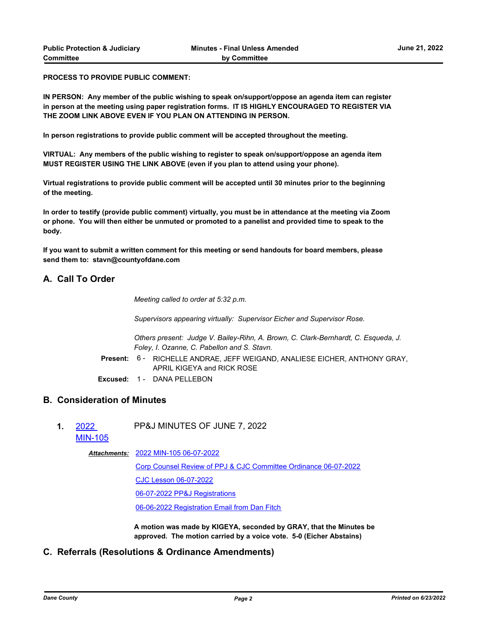**PROCESS TO PROVIDE PUBLIC COMMENT:**

**IN PERSON: Any member of the public wishing to speak on/support/oppose an agenda item can register in person at the meeting using paper registration forms. IT IS HIGHLY ENCOURAGED TO REGISTER VIA THE ZOOM LINK ABOVE EVEN IF YOU PLAN ON ATTENDING IN PERSON.**

**In person registrations to provide public comment will be accepted throughout the meeting.**

**VIRTUAL: Any members of the public wishing to register to speak on/support/oppose an agenda item MUST REGISTER USING THE LINK ABOVE (even if you plan to attend using your phone).**

**Virtual registrations to provide public comment will be accepted until 30 minutes prior to the beginning of the meeting.**

**In order to testify (provide public comment) virtually, you must be in attendance at the meeting via Zoom or phone. You will then either be unmuted or promoted to a panelist and provided time to speak to the body.**

**If you want to submit a written comment for this meeting or send handouts for board members, please send them to: stavn@countyofdane.com**

### **A. Call To Order**

*Meeting called to order at 5:32 p.m.*

*Supervisors appearing virtually: Supervisor Eicher and Supervisor Rose.*

*Others present: Judge V. Bailey-Rihn, A. Brown, C. Clark-Bernhardt, C. Esqueda, J. Foley, I. Ozanne, C. Pabellon and S. Stavn.*

- Present: 6 RICHELLE ANDRAE, JEFF WEIGAND, ANALIESE EICHER, ANTHONY GRAY, APRIL KIGEYA and RICK ROSE
- **Excused:** 1 DANA PELLEBON

# **B. Consideration of Minutes**

- **1.** 2022 PP&J MINUTES OF JUNE 7, 2022
	- [MIN-105](http://dane.legistar.com/gateway.aspx?m=l&id=/matter.aspx?key=23055)

### [2022 MIN-105 06-07-2022](http://dane.legistar.com/gateway.aspx?M=F&ID=48770f22-19a6-4134-9142-e86ee4241d4c.pdf) *Attachments:*

[Corp Counsel Review of PPJ & CJC Committee Ordinance 06-07-2022](http://dane.legistar.com/gateway.aspx?M=F&ID=ffdd5ec9-dcd8-4614-bce4-e6899980988d.pdf) [CJC Lesson 06-07-2022](http://dane.legistar.com/gateway.aspx?M=F&ID=ef635ee8-d0c6-4268-bb9f-faecff8f063e.pdf) [06-07-2022 PP&J Registrations](http://dane.legistar.com/gateway.aspx?M=F&ID=21c3412c-be75-4ff6-89eb-466b62afd823.pdf) [06-06-2022 Registration Email from Dan Fitch](http://dane.legistar.com/gateway.aspx?M=F&ID=6e5be6d4-a572-4d83-949f-00eff3c33f37.pdf)

**A motion was made by KIGEYA, seconded by GRAY, that the Minutes be approved. The motion carried by a voice vote. 5-0 (Eicher Abstains)**

### **C. Referrals (Resolutions & Ordinance Amendments)**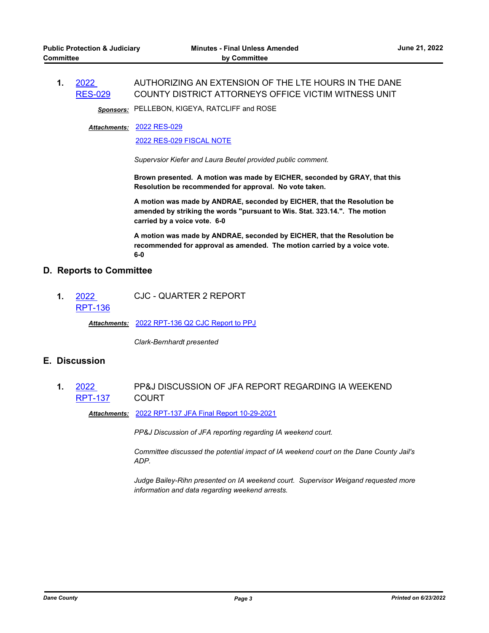#### **1.** 2022 [RES-029](http://dane.legistar.com/gateway.aspx?m=l&id=/matter.aspx?key=22848) AUTHORIZING AN EXTENSION OF THE LTE HOURS IN THE DANE COUNTY DISTRICT ATTORNEYS OFFICE VICTIM WITNESS UNIT

*Sponsors:* PELLEBON, KIGEYA, RATCLIFF and ROSE

### [2022 RES-029](http://dane.legistar.com/gateway.aspx?M=F&ID=e494d09a-fff1-4386-a218-72dffc9886f8.pdf) *Attachments:*

[2022 RES-029 FISCAL NOTE](http://dane.legistar.com/gateway.aspx?M=F&ID=8fc0a0eb-d96b-49c6-ab39-1a796c43c5bb.pdf)

*Supervsior Kiefer and Laura Beutel provided public comment.*

**Brown presented. A motion was made by EICHER, seconded by GRAY, that this Resolution be recommended for approval. No vote taken.**

**A motion was made by ANDRAE, seconded by EICHER, that the Resolution be amended by striking the words "pursuant to Wis. Stat. 323.14.". The motion carried by a voice vote. 6-0**

**A motion was made by ANDRAE, seconded by EICHER, that the Resolution be recommended for approval as amended. The motion carried by a voice vote. 6-0**

## **D. Reports to Committee**

**1.** 2022 [RPT-136](http://dane.legistar.com/gateway.aspx?m=l&id=/matter.aspx?key=23114) CJC - QUARTER 2 REPORT

*Attachments:* [2022 RPT-136 Q2 CJC Report to PPJ](http://dane.legistar.com/gateway.aspx?M=F&ID=6f7832cb-1e8a-4dc4-a208-6a25abf9bed3.pdf)

*Clark-Bernhardt presented*

# **E. Discussion**

**1.** 2022 [RPT-137](http://dane.legistar.com/gateway.aspx?m=l&id=/matter.aspx?key=23121) PP&J DISCUSSION OF JFA REPORT REGARDING IA WEEKEND COURT

*Attachments:* [2022 RPT-137 JFA Final Report 10-29-2021](http://dane.legistar.com/gateway.aspx?M=F&ID=55fbf1ec-387e-4792-93b0-8f9bde1f6d4e.pdf)

*PP&J Discussion of JFA reporting regarding IA weekend court.*

*Committee discussed the potential impact of IA weekend court on the Dane County Jail's ADP.*

*Judge Bailey-Rihn presented on IA weekend court. Supervisor Weigand requested more information and data regarding weekend arrests.*